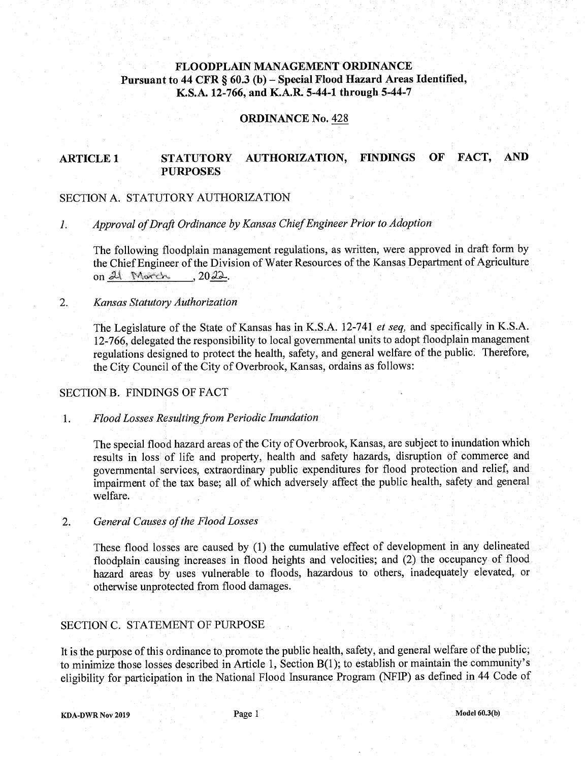# **FLOODPLAIN MANAGEMENT ORDINANCE Pursuant to 44 CFR** § 60.3 **(b)** - **Special Flood Hazard Areas Identified, K.S.A. 12-766, and K.A.R. 5-44-1 through 5-44-7**

### **ORDINANCE No.** 428

# **ARTICLE 1 STATUTORY AUTHORIZATION, FINDINGS OF FACT, AND PURPOSES**

#### SECTION A. STATUTORY AUTHORIZATION

*Approval of Draft Ordinance by Kansas Chief Engineer Prior to Adoption*   $\mathcal{L}$ 

The following floodplain management regulations, as written, were approved in draft form by the Chief Engineer of the Division of Water Resources of the Kansas Department of Agriculture The following floodplain m<br>the Chief Engineer of the D<br>on <u>21 Norch 10</u> 20 21

### 2. *Kansas Statutory Authorization*

The Legislature of the State of Kansas has in K.S.A. 12-741 *et seq,* and specifically in K.S.A. 12-766, delegated the responsibility to local governmental units to adopt floodplain management regulations designed to protect the health, safety, and general welfare of the public. Therefore, the City Council of the City of Overbrook, Kansas, ordains as follows:

#### SECTION B. FINDINGS OF FACT

*Flood Losses Resulting from Periodic Inundation*   $1<sub>1</sub>$ 

> The special flood hazard areas of the City of Overbrook, Kansas, are subject to inundation which results in loss of life and property, health and safety hazards, disruption of commerce and governmental services, extraordinary public expenditures for flood protection and relief, and impairment of the tax base; all of which adversely affect the public health, safety and general welfare.

#### 2. *General Causes of the Flood Losses*

These flood losses are caused by (1) the cumulative effect of development in any delineated floodplain causing increases in flood heights and velocities; and (2) the occupancy of flood hazard areas by uses vulnerable to floods, hazardous to others, inadequately elevated, or otherwise unprotected from flood damages.

### SECTION C. STATEMENT OF PURPOSE

It is the purpose of this ordinance to promote the public health, safety, and general welfare of the public; to minimize those losses described in Article 1, Section B(1); to establish or maintain the community's eligibility for participation in the National Flood Insurance Program (NFIP) as defined in 44 Code of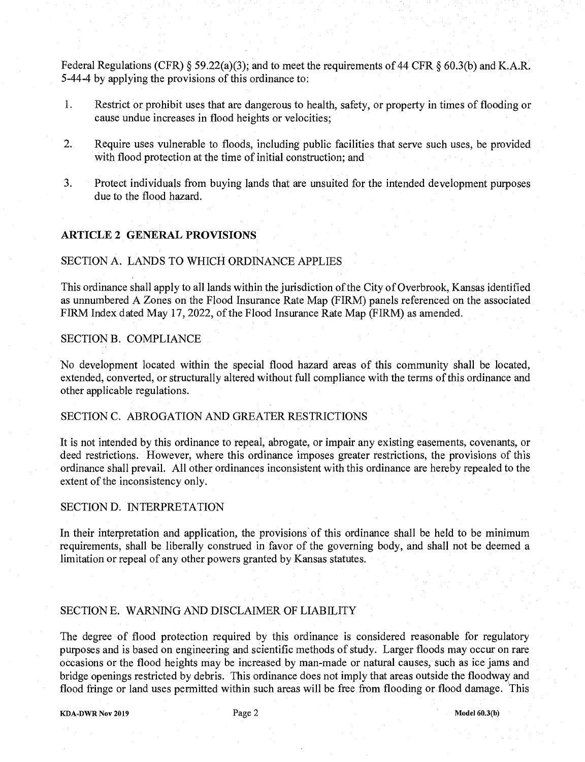Federal Regulations (CFR) § 59.22(a)(3); and to meet the requirements of 44 CFR § 60.3(b) and K.A.R. *5-44-4* by applying the provisions of this ordinance to:

- 1. Restrict or prohibit uses that are dangerous to health, safety, or property in times of flooding or cause undue increases in flood heights or velocities;
- 2. Require uses vulnerable to floods, including public facilities that serve such uses, be provided with flood protection at the time of initial construction, and
- 3. Protect individuals from buying lands that are unsuited for the intended development purposes due to the flood hazard.

### **ARTICLE** 2 **GENERAL PROVISIONS,**

#### SECTION A. LANDS TO WHICH ORDINANCE APPLIES

This ordinance shall apply to all lands within the jurisdiction of the City of Overbrook, Kansas identified as unnumbered A Zones on the Flood Insurance Rate Map (FIRM) panels referenced on the associated FIRM Index dated May 17, 2022, of the Flood Insurance Rate Map (FIRM) as amended

#### SECTION B. COMPLIANCE

No development located within the special flood hazard areas of this community shall be located, extended, converted, or structurally altered without full compliance with the terms of this ordinance and other applicable regulations.

#### SECTION C. ABROGATION AND GREATER RESTRICTIONS

It is not intended by this ordinance to repeal, abrogate, or impair any existing easements, covenants, or deed restrictions. However, where this ordinance imposes greater restrictions, the provisions of this ordinance shall prevail All other ordinances inconsistent with this ordinance are hereby repealed to the extent of the inconsistency only.

# SECTION D. INTERPRETATION

In their interpretation and application, the provisions of this ordinance shall be held to be minimum requirements, shall be liberally construed in favor of the governing body, and shall not be deemed a limitation or repeal of any other powers granted by Kansas statutes

### SECTION E. WARNING AND DISCLAIMER OF LIABILITY

The degree of flood protection required by this ordinance is considered reasonable for regulatory purposes and is based on engineering and scientific methods of study. Larger floods may occur on rare occasions or the flood heights may be increased by man-made or natural causes, such as ice jams and bridge openings restricted by debris. This ordinance does not imply that areas outside the floodway and flood fringe or land uses permitted within such areas will be free from flooding or flood damage. This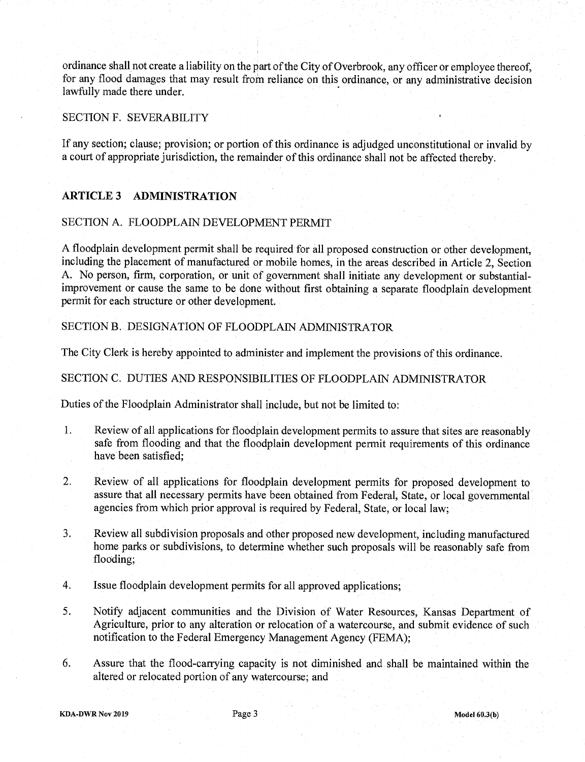ordinance shall not create a liability on the part of the City of Overbrook, any officer or employee thereof, for any flood damages that may result from reliance on this ordinance, or any administrative decision lawfully made there under.

### SECTION F. SEVERABILITY

If any section; clause; provision; or portion of this ordinance is adjudged unconstitutional or invalid by a court of appropriate jurisdiction, the remainder of this ordinance shall not be affected thereby.

### **ARTICLE 3 ADMINISTRATION**

#### SECTION A. FLOODPLAIN DEVELOPMENT PERMIT

A floodplain development permit shall be required for all proposed construction or other development, including the placement of manufactured or mobile homes, in the areas described in Article 2, Section A No person, firm, corporation, or unit of government shall initiate any development or substantialimprovement or cause the same to be done without first obtaining a separate floodplain development permit for each structure or other development.

### SECTION B. DESIGNATION OF FLOODPLAIN ADMINISTRATOR

The City Clerk is hereby appointed to administer and implement the provisions of this ordinance.

# SECTION C. DUTIES AND RESPONSIBILITIES OF FLOODPLAIN ADMINISTRATOR

Duties of the Floodplain Administrator shall include, but not be limited to:

- 1 Review of all applications for floodplain development permits to assure that sites are reasonably safe from flooding and that the floodplain development permit requirements of this ordinance have been satisfied,
- 2 Review of all applications for floodplain development permits for proposed development to assure that all necessary permits have been obtained from Federal, State, or local governmental agencies from which prior approval is required by Federal, State, or local law,
- 3 Review all subdivision proposals and other proposed new development, including manufactured home parks or subdivisions, to determine whether such proposals will be reasonably safe from flooding;
- 4. Issue floodplain development permits for all approved applications;
- 5. Notify adjacent communities and the Division of Water Resources, Kansas Department of Agriculture, prior to any alteration or relocation of a watercourse, and submit evidence of such notification to the Federal Emergency Management Agency (FEMA),
- 6 Assure that the flood-carrying capacity is not diminished and shall be maintained within the altered or relocated portion of any watercourse, and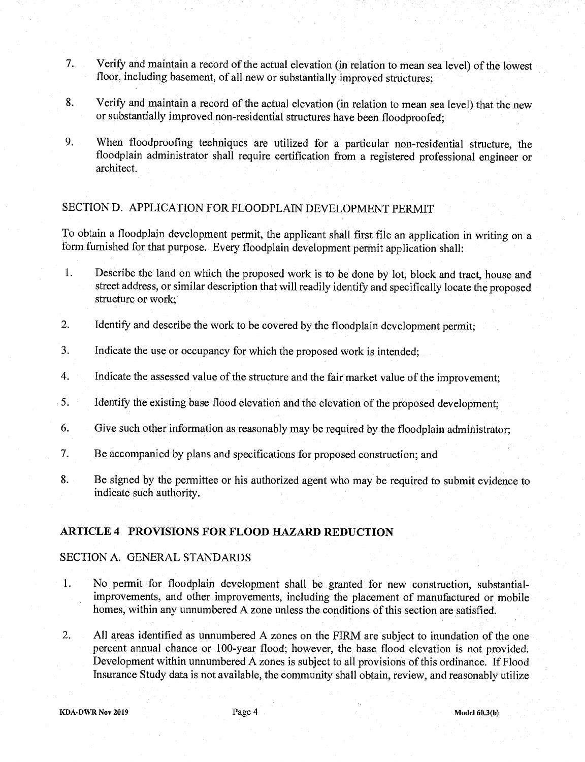- 7 Verify and maintain a record of the actual elevation (in relation to mean sea level) of the lowest floor, including basement, of all new or substantially improved structures,
- 8. Verify and maintain a record of the actual elevation (in relation to mean sea level) that the new or substantially improved non-residential structures have been floodproofed;
- 9. When floodproofing techniques are utilized for a particular non-residential structure, the floodplain administrator shall require certification from a registered professional engineer or architect.

# SECTION D. APPLICATION FOR FLOODPLAIN DEVELOPMENT PERMIT

To obtain a floodplain development permit, the applicant shall first file an application in writing on a form furnished for that purpose. Every floodplain development permit application shall:

- 1. Describe the land on which the proposed work is to be done by lot, block and tract, house and street address, or similar description that will readily identify and specifically locate the proposed structure or work,
- 2. Identify and describe the work to be covered by the floodplain development permit;
- 3. Indicate the use or occupancy for which the proposed work is intended;
- 4. Indicate the assessed value of the structure and the fair market value of the improvement;
- 5. Identify the existing base flood elevation and the elevation of the proposed development;
- 6. Give such other information as reasonably may be required by the floodplain administrator;
- 7. Be accompanied by plans and specifications for proposed construction; and
- 8. Be signed by the permittee or his authorized agent who may be required to submit evidence to indicate such authority.

### **ARTICLE 4 PROVISIONS FOR FLOOD HAZARD REDUCTION**

# SECTION A. GENERAL STANDARDS

- 1. No permit for floodplain development shall be granted for new construction, substantialimprovements, and other improvements, including the placement of manufactured or mobile homes, within any unnumbered A zone unless the conditions of this section are satisfied.
- 2. All areas identified as unnumbered A zones on the FIRM are subject to inundation of the one percent annual chance or 100-year flood, however, the base flood elevation is not provided Development within unnumbered A zones is subject to all provisions of this ordinance. If Flood Insurance Study data is not available, the community shall obtain, review, and reasonably utilize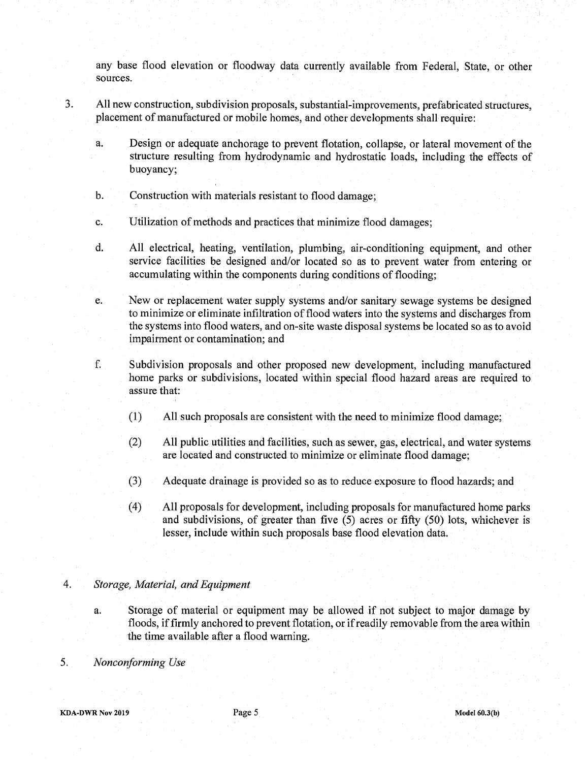any base flood elevation or floodway data currently available from Federal, State, or other sources.

- 3. All new construction, subdivision proposals, substantial-improvements, prefabricated structures, placement of manufactured or mobile homes, and other developments shall require
	- a. Design or adequate anchorage to prevent flotation, collapse, or lateral movement of the structure resulting from hydrodynamic and hydrostatic loads, including the effects of buoyancy;
	- b. Construction with materials resistant to flood damage;
	- c. Utilization of methods and practices that minimize flood damages;
	- d. All electrical, heating, ventilation, plumbing, air-conditioning equipment, and other service facilities be designed and/or located so as to prevent water from entering or accumulating within the components during conditions of flooding;
	- e. New or replacement water supply systems and/or sanitary sewage systems be designed to minimize or eliminate infiltration of flood waters into the systems and discharges from the systems into flood waters, and on-site waste disposal systems be located so as to avoid impairment or contamination; and
	- f. Subdivision proposals and other proposed new development, including manufactured home parks or subdivisions, located within special flood hazard areas are required to assure that:
		- (1) All such proposals are consistent with the need to minimize flood damage,
		- (2) All public utilities and facilities, such as sewer, gas, electrical, and water systems are located and constructed to minimize or eliminate flood damage,
		- (3) Adequate drainage is provided so as to reduce exposure to flood hazards, and
		- (4) All proposals for development, including proposals for manufactured home parks and subdivisions, of greater than five *(5)* acres or fifty *(50)* lots, whichever is lesser, include within such proposals base flood elevation data

### *4. Storage, Material, and Equipment*

- a. Storage of material or equipment may be allowed if not subject to major damage by floods, if firmly anchored to prevent flotation, or if readily removable from the area within the time available after a flood warning
- *5 Nonconforming Use*

**KDA-DWR Nov 2019 Page 5** *Page 5* **<b>***Model 60.3(b) Model 60.3(b)*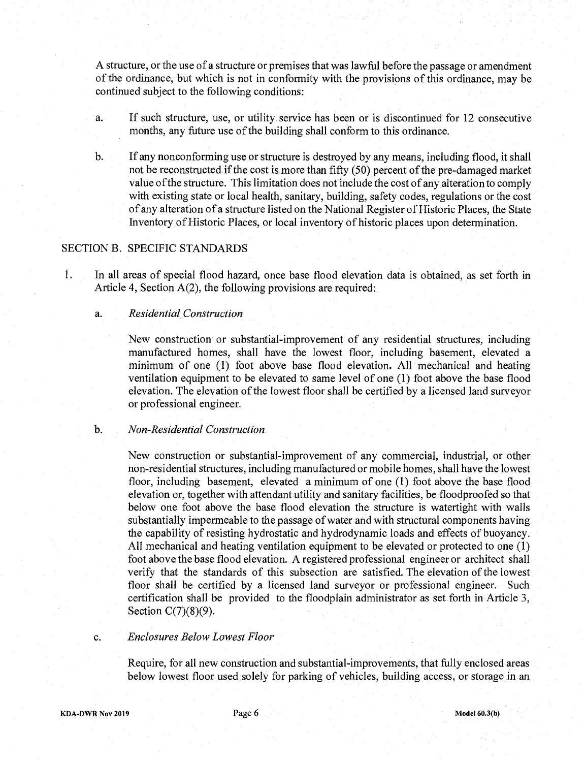A structure, or the use of a structure or premises that was lawful before the passage or amendment of the ordinance, but which is not in conformity with the provisions of this ordinance, may be continued subject to the following conditions:

- a. If such structure, use, or utility service has been or is discontinued for 12 consecutive months, any future use of the building shall conform to this ordinance.
- b. If any nonconforming use or structure is destroyed by any means, including flood, it shall not be reconstructed if the cost is more than fifty *(50)* percent of the pre-damaged market value of the structure. This limitation does not include the cost of any alteration to comply with existing state or local health, sanitary, building, safety codes, regulations or the cost of any alteration of a structure listed on the National Register of Historic Places, the State Inventory of Historic Places, or local inventory of historic places upon determination.

# SECTION B. SPECIFIC STANDARDS

1. In all areas of special flood hazard, once base flood elevation data is obtained, as set forth in Article 4, Section  $A(2)$ , the following provisions are required:

#### *a. Residential Construction*

New construction or substantial-improvement of any residential structures, including manufactured homes, shall have the lowest floor, including basement, elevated a minimum of one (1) foot above base flood elevation. All mechanical and heating ventilation equipment to be elevated to same level of one (1) foot above the base flood elevation. The elevation of the lowest floor shall be certified by a licensed land surveyor or professional engineer.

#### *b. Non-Residential Construction*

New construction or substantial-improvement of any commercial, industrial, or other non-residential structures, including manufactured or mobile homes, shall have the lowest floor, including basement, elevated a minimum of one (1) foot above the base flood elevation or, together with attendant utility and sanitary facilities, be floodproofed so that below one foot above the base flood elevation the structure is watertight with walls substantially impermeable to the passage of water and with structural components having the capability of resisting hydrostatic and hydrodynamic loads and effects of buoyancy. All mechanical and heating ventilation equipment to be elevated or protected to one (1) foot above the base flood elevation A registered professional engineer or architect shall verify that the standards of this subsection are satisfied. The elevation of the lowest floor shall be certified by a licensed land surveyor or professional engineer. Such certification shall be provided to the floodplain administrator as set forth in Article 3, Section  $C(7)(8)(9)$ .

#### *C. Enclosures Below Lowest Floor*

Require, for all new construction and substantial-improvements, that fully enclosed areas below lowest floor used solely for parking of vehicles, building access, or storage in an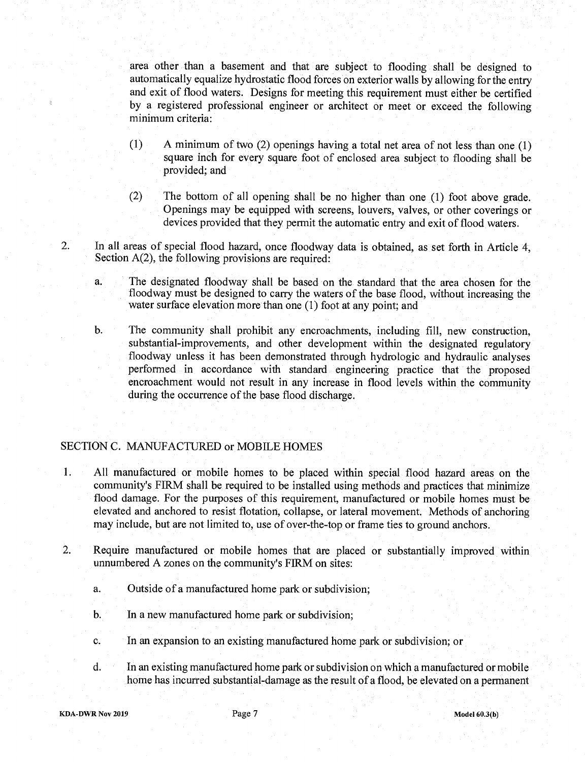area other than a basement and that are subject to flooding shall be designed to automatically equalize hydrostatic flood forces on exterior walls by allowing for the entry and exit of flood waters. Designs for meeting this requirement must either be certified by a registered professional engineer or architect Or meet or exceed the following minimum criteria:

- (1) A minimum of two (2) openings having a total net area of not less than one (1) square inch for every square foot of enclosed area subject to flooding shall be provided; and
- (2) The bottom of all opening shall be no higher than one (1) foot above grade. Openings may be equipped with screens, louvers, valves, or other coverings or devices provided that they permit the automatic entry and exit of flood waters
- 2. In all areas of special flood hazard, once floodway data is obtained, as set forth in Article 4, Section  $A(2)$ , the following provisions are required:
	- a. The designated floodway shall be based on the standard that the area chosen for the floodway must be designed to carry the waters of the base flood, without increasing the water surface elevation more than one (1) foot at any point; and

b. The community shall prohibit any encroachments, including fill, new construction, substantial-improvements, and other development within the designated regulatory floodway unless it has been demonstrated through hydrologic and hydraulic analyses performed in accordance with standard engineering practice that the proposed encroachment would not result in any increase in flood levels within the community during the occurrence of the base flood discharge.

## SECTION C. MANUFACTURED or MOBILE HOMES

- 1 All manufactured or mobile homes to be placed within special flood hazard areas on the community's FIRM shall be required to be installed using methods and practices that minimize flood damage. For the purposes of this requirement, manufactured or mobile homes must be elevated and anchored to resist flotation, collapse, or lateral movement. Methods of anchoring may include, but are not limited to, use of over-the-top or frame ties to ground anchors
- 2. Require manufactured or mobile homes that are placed or substantially improved within unnumbered A zones on the community's FIRM on sites
	- a. Outside of a manufactured home park or subdivision;
	- b. In a new manufactured home park or subdivision;
	- C. In an expansion to an existing manufactured home park or subdivision, or
	- d. In an existing manufactured home park or subdivision on which a manufactured or mobile home has incurred substantial-damage as the result of a flood, be elevated on a permanent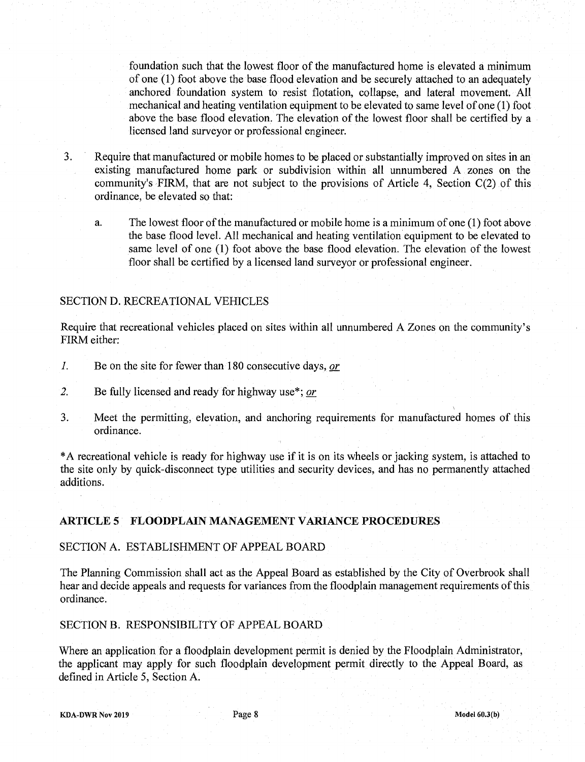foundation such that the lowest floor of the manufactured home is elevated a minimum of one (1) foot above the base flood elevation and be securely attached to an adequately anchored foundation system to resist flotation, collapse, and lateral movement. All mechanical and heating ventilation equipment to be elevated to same level of one (1) foot above the base flood elevation. The elevation of the lowest floor shall be certified by a licensed land surveyor or professional engineer.

3. Require that manufactured or mobile homes to be placed or substantially improved on sites in an existing manufactured home park or subdivision within all unnumbered A zones on the community's FIRM, that are not subject to the provisions of Article 4, Section C(2) of this ordinance, be elevated so that:

a. The lowest floor of the manufactured or mobile home is a minimum of one (1) foot above the base flood level. All mechanical and heating ventilation equipment to be elevated to same level of one (1) foot above the base flood elevation. The elevation of the lowest floor shall be certified by a licensed land surveyor or professional engineer.

### SECTION D. RECREATIONAL VEHICLES

Require that recreational vehicles placed on sites within all unnumbered A Zones on the community's FIRM either:

- 1. Be on the site for fewer than 180 consecutive days, *or*
- 2. Be fully licensed and ready for highway use\*; or
- 3. Meet the permitting, elevation, and anchoring requirements for manufactured homes of this ordinance.

\*A recreational vehicle is ready for highway use if it is on its wheels or jacking system, is attached to the site only by quick-disconnect type utilities and security devices, and has no permanently attached additions.

### **ARTICLE 5 FLOODPLAIN MANAGEMENT VARIANCE PROCEDURES**

#### SECTION A. ESTABLISHMENT OF APPEAL BOARD

The Planning Commission shall act as the Appeal Board as established by the City of Overbrook shall hear and decide appeals and requests for variances from the floodplain management requirements of this ordinance.

SECTION B. RESPONSIBILITY OF APPEAL BOARD

Where an application for a floodplain development permit is denied by the Floodplain Administrator, the applicant may apply for such floodplain development permit directly to the Appeal Board, as defined in Article *5,* Section A

**KDA DWR Nov 2019 Page 8 Model 60.3(b)**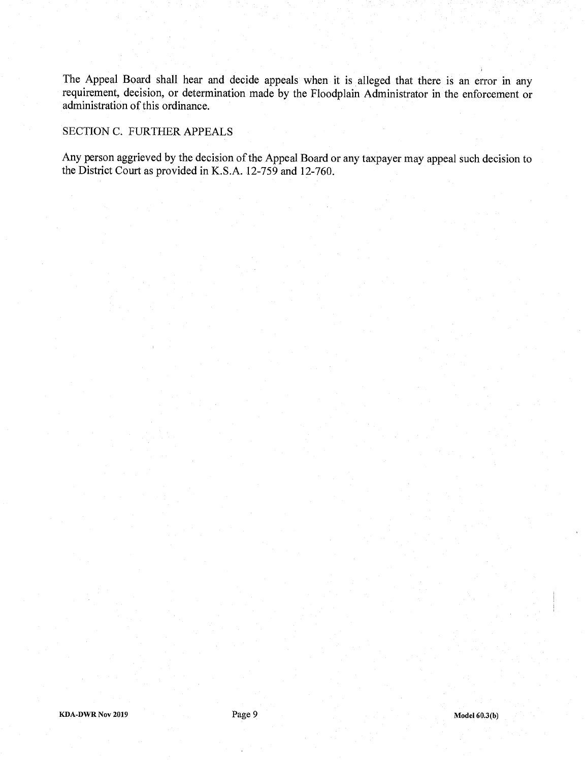The Appeal Board shall hear and decide appeals when it is alleged that there is an error in any requirement, decision, or determination made by the Floodplain Administrator in the enforcement or administration of this ordinance.

### SECTION C. FURTHER APPEALS

Any person aggrieved by the decision of the Appeal Board or any taxpayer may appeal such decision to the District Court as provided in K.S.A. *12-759* and 12-760.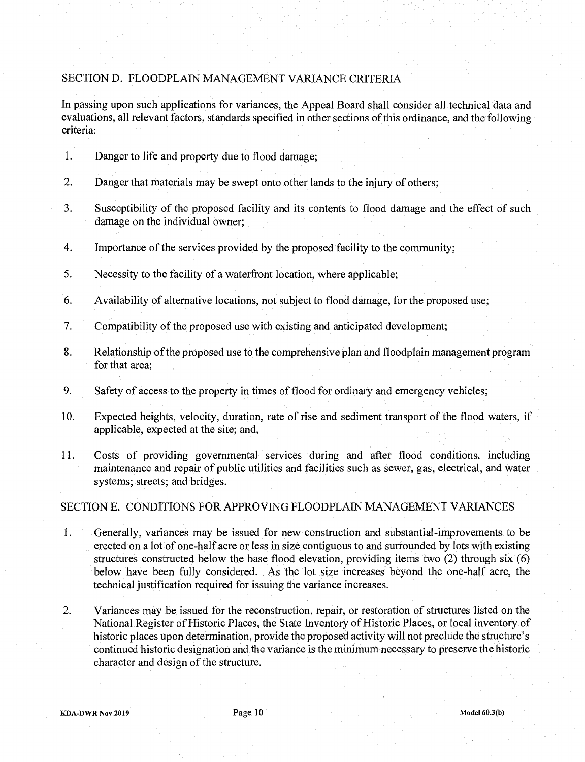# SECTION D. FLOODPLAIN MANAGEMENT VARIANCE CRITERIA

In passing upon such applications for variances, the Appeal Board shall consider all technical data and evaluations, all relevant factors, standards specified in other sections of this ordinance, and the following criteria:

- 1. Danger to life and property due to flood damage;
- 2. Danger that materials may be swept onto other lands to the injury of others;
- 3. Susceptibility of the proposed facility and its contents to flood damage and the effect of such damage on the individual owner,
- 4 Importance of the services provided by the proposed facility to the community,
- *5.* Necessity to the facility of a waterfront location, where applicable;
- 6 Availability of alternative locations, not subject to flood damage, for the proposed use,
- 7 Compatibility of the proposed use with existing and anticipated development,
- 8. Relationship of the proposed use to the comprehensive plan and floodplain management program for that area;
- 9. Safety of access to the property in times of flood for ordinary and emergency vehicles;
- 10 Expected heights, velocity, duration, rate of rise and sediment transport of the flood waters, if applicable, expected at the site; and,
- 11. Costs of providing governmental services during and after flood conditions, including maintenance and repair of public utilities and facilities such as sewer, gas, electrical, and water systems; streets; and bridges.

### SECTION B. CONDITIONS FOR APPROVING FLOODPLAIN MANAGEMENT VARIANCES

- $\mathbf{1}$ . Generally, variances may be issued for new construction and substantial-improvements to be erected on a lot of one-half acre or less in size contiguous to and surrounded by lots with existing structures constructed below the base flood elevation, providing items two (2) through six (6) below have been fully considered. As the lot size increases beyond the one-half acre, the technical justification required for issuing the variance increases.
- 2. Variances may be issued for the reconstruction, repair, or restoration of structures listed on the National Register of Historic Places, the State Inventory of Historic Places, or local inventory of historic places upon determination, provide the proposed activity will not preclude the structure's continued historic designation and the variance is the minimum necessary to preserve the historic character and design of the structure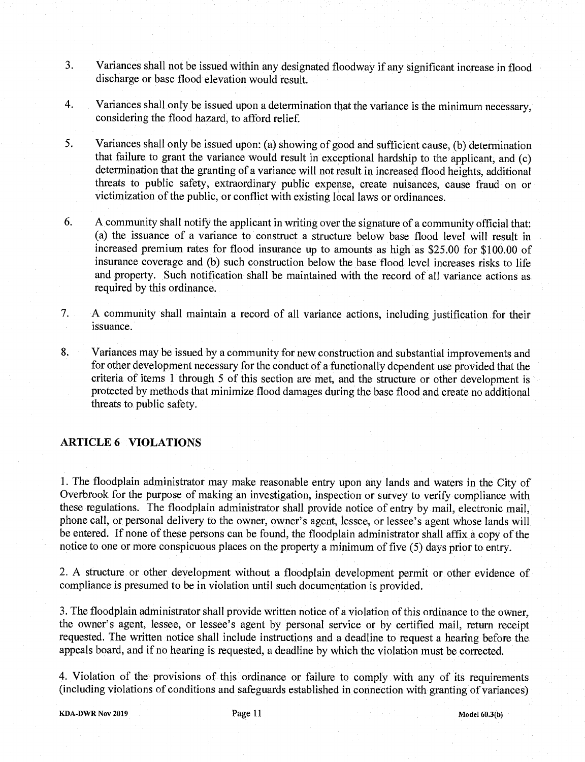- 3 Variances shall not be issued within any designated floodway if any significant increase in flood discharge or base flood elevation would result.
- 4. Variances shall only be issued upon a determination that the variance is the minimum necessary, considering the flood hazard, to afford relief.
- 5. Variances shall only be issued upon: (a) showing of good and sufficient cause, (b) determination that failure to grant the variance would result in exceptional hardship to the applicant, and (c) determination that the granting of a variance will not result in increased flood heights, additional threats to public safety, extraordinary public expense, create nuisances, cause fraud on or victimization of the public, or conflict with existing local laws or ordinances.
- 6. A community shall notify the applicant in writing over the signature of a community official that: (a) the issuance of a variance to construct a structure below base flood level will result in increased premium rates for flood insurance up to amounts as high as \$25 00 for \$100 00 of insurance coverage and (b) such construction below the base flood level increases risks to life and property. Such notification shall be maintained with the record of all variance actions as required by this ordinance.
- 7. A community shall maintain a record of all variance actions, including justification for their issuance.
- 8. Variances may be issued by a community for new construction and substantial improvements and for other development necessary for the conduct of a functionally dependent use provided that the criteria of items 1 through *5* of this section are met, and the structure or other development is protected by methods that minimize flood damages during the base flood and create no additional threats to public safety.

### **ARTICLE 6 VIOLATIONS**

1. The floodplain administrator may make reasonable entry upon any lands and waters in the City of Overbrook for the purpose of making an investigation, inspection or survey to verify compliance with these regulations. The floodplain administrator shall provide notice of entry by mail, electronic mail, phone call, or personal delivery to the owner, owner's agent, lessee, or lessee's agent whose lands will be entered. If none of these persons can be found, the floodplain administrator shall affix a copy of the notice to one or more conspicuous places on the property a minimum of five *(5)* days prior to entry.

2. A structure or other development without a floodplain development permit or other evidence of compliance is presumed to be in violation until such documentation is provided.

3. The floodplain administrator shall provide written notice of a violation of this ordinance to the owner, the owner's agent, lessee, or lessee's agent by personal service or by certified mail, return receipt requested. The written notice shall include instructions and a deadline to request a hearing before the appeals board, and if no hearing is requested, a deadline by which the violation must be corrected.

4. Violation of the provisions of this ordinance or failure to comply with any of its requirements (including violations of conditions and safeguards established in connection with granting of variances)

**KDA-DWR Nov 2019** Page 11 **Model 60.3(b)**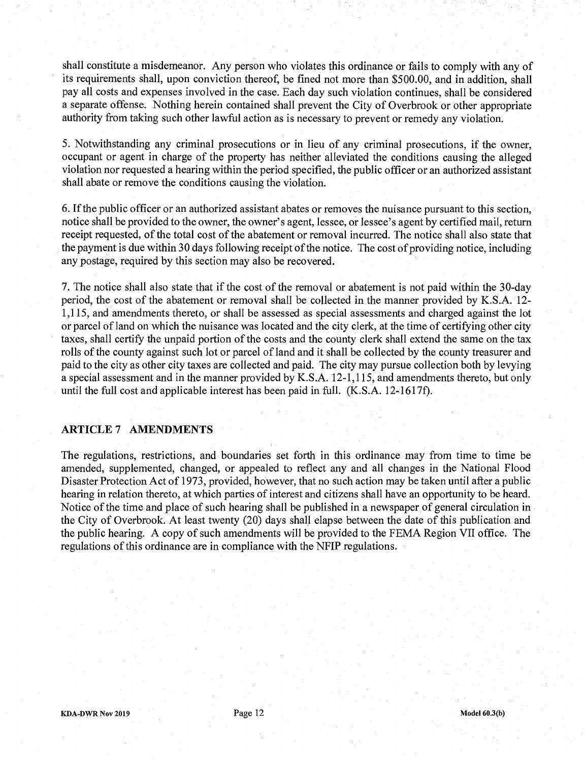shall constitute a misdemeanor. Any person who violates this ordinance or fails to comply with any of its requirements shall, upon conviction thereof, be fined not more than \$500 00, and in addition, shall pay all costs and expenses involved in the case. Each day such violation continues, shall be considered a separate offense. Nothing herein contained shall prevent the City of Overbrook or other appropriate authority from taking such other lawful action as is necessary to prevent or remedy any violation.

5. Notwithstanding any criminal prosecutions or in lieu of any criminal prosecutions, if the owner, occupant or agent in charge of the property has neither alleviated the conditions causing the alleged violation nor requested a hearing within the period specified, the public officer or an authorized assistant shall abate or remove the conditions causing the violation.

6. If the public officer or an authorized assistant abates or removes the nuisance pursuant to this section, notice shall be provided to the owner, the owner's agent, lessee, or lessee's agent by certified mail, return receipt requested, of the total cost of the abatement or removal incurred. The notice shall also state that the payment is due within 30 days following receipt of the notice. The cost of providing notice, including any postage, required by this section may also be recovered.

7. The notice shall also state that if the cost of the removal or abatement is not paid within the 30-day period, the cost of the abatement or removal shall be collected in the manner provided by K.S.A. 12-1,115, and amendments thereto, or shall be assessed as special assessments and charged against the lot or parcel of land on which the nuisance was located and the city clerk, at the time of certifying other city taxes, shall certify the unpaid portion of the costs and the county clerk shall extend the same on the tax rolls of the county against such lot or parcel of land and it shall be collected by the county treasurer and paid to the city as other city taxes are collected and paid. The city may pursue collection both by levying a special assessment and in the manner provided by K.S.A. 12-1,115, and amendments thereto, but only until the full cost and applicable interest has been paid in full. (K.S.A. 12-16171).

#### **ARTICLE** 7 **AMENDMENTS**

The regulations, restrictions, and boundaries set forth in this ordinance may from time to time be amended, supplemented, changed, or appealed to reflect any and all changes in the National Flood Disaster Protection Act of 1973, provided, however, that no such action may be taken until after a public hearing in relation thereto, at which parties of interest and citizens shall have an opportunity to be heard. Notice of the time and place of such hearing shall be published in a newspaper of general circulation in the City of Overbrook. At least twenty (20) days shall elapse between the date of this publication and the public hearing. A copy of such amendments will be provided to the FEMA Region VII office. The regulations of this ordinance are in compliance with the NFIP regulations.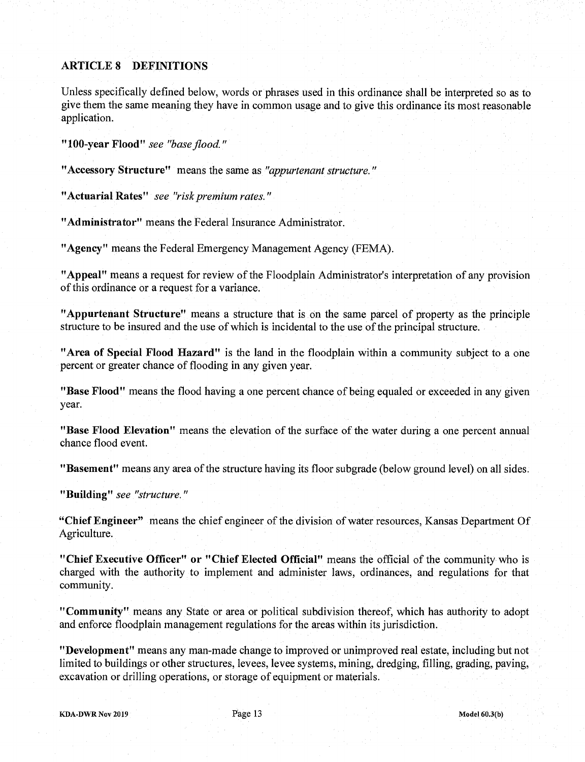# **ARTICLE 8 DEFINITIONS**

Unless specifically defined below, words or phrases used in this ordinance shall be interpreted so as to give them the same meaning they have in common usage and to give this ordinance its most reasonable application.

**"100-year Flood"** *see "base flood."* 

**"Accessory Structure"** means the same as *"appurtenant structure."* 

**"Actuarial Rates"** *see "risk premium rates."* 

**"Administrator"** means the Federal Insurance Administrator.

**"Agency"** means the Federal Emergency Management Agency (FEMA).

**"Appeal"** means a request for review of the Floodplain Administrator's interpretation of any provision of this ordinance or a request for a variance.

**"Appurtenant Structure"** means a structure that is on the same parcel of property as the principle structure to be insured and the use of which is incidental to the use of the principal structure

**"Area of Special Flood Hazard"** is the land in the floodplain within a community subject to a one percent or greater chance of flooding in any given year.

**"Base Flood"** means the flood having a one percent chance of being equaled or exceeded in any given year.

**"Base Flood Elevation"** means the elevation of the surface of the water during a one percent annual chance flood event.

**"Basement"** means any area of the structure having its floor subgrade (below ground level) on all sides.

**"Building"** *see "structure."* 

**"Chief Engineer"** means the chief engineer of the division of water resources, Kansas Department Of Agriculture.

**"Chief Executive Officer" or "Chief Elected Official"** means the official of the community who is charged with the authority to implement and administer laws, ordinances, and regulations for that community.

**"Community"** means any State or area or political subdivision thereof, which has authority to adopt and enforce floodplain management regulations for the areas within its jurisdiction

**"Development"** means any man-made change to improved or unimproved real estate, including but not limited to buildings or other structures, levees, levee systems, mining, dredging, filling, grading, paving, excavation or drilling operations, or storage of equipment or materials.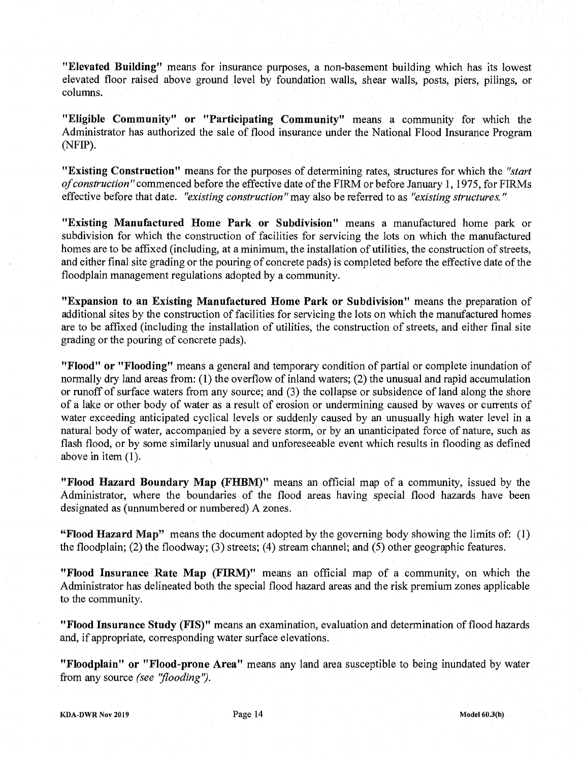**"Elevated Building"** means for insurance purposes, a non-basement building which has its lowest elevated floor raised above ground level by foundation walls, shear walls, posts, piers, pilings, or columns.

**"Eligible Community" or "Participating Community"** means a community for which the Administrator has authorized the sale of flood insurance under the National Flood Insurance Program (NFIP).

**"Existing Construction"** means for the purposes of determining rates, structures for which the *"start of construction"* commenced before the effective date of the FIRM or before January 1, 1975, for FIRMs effective before that date. *"existing construction"* may also be referred to as *"existing structures."* 

**"Existing Manufactured Home Park or Subdivision"** means a manufactured home park or subdivision for which the construction of facilities for servicing the lots on which the manufactured homes are to be affixed (including, at a minimum, the installation of utilities, the construction of streets, and either final site grading or the pouring of concrete pads) is completed before the effective date of the floodplain management regulations adopted by a community.

**"Expansion to an Existing Manufactured Home Park or Subdivision"** means the preparation of additional sites by the construction of facilities for servicing the lots on which the manufactured homes are to be affixed (including the installation of utilities, the construction of streets, and either final site grading or the pouring of concrete pads).

**"Flood" or "Flooding"** means a general and temporary condition of partial or complete inundation of normally dry land areas from:  $(1)$  the overflow of inland waters;  $(2)$  the unusual and rapid accumulation or runoff of surface waters from any source; and (3) the collapse or subsidence of land along the shore of a lake or other body of water as a result of erosion or undermining caused by waves or currents of water exceeding anticipated cyclical levels or suddenly caused by an unusually high water level in a natural body of water, accompanied by a severe storm, or by an unanticipated force of nature, such as flash flood, or by some similarly unusual and unforeseeable event which results in flooding as defined above in item (1).

**"Flood Hazard Boundary Map (FHBM)"** means an official map of a community, issued by the Administrator, where the boundaries of the flood areas having special flood hazards have been designated as (unnumbered or numbered) A zones.

**"Flood Hazard Map"** means the document adopted by the governing body showing the limits of: (1) the floodplain, (2) the floodway, (3) streets, (4) stream channel, and *(5)* other geographic features

**"Flood Insurance Rate Map (FIRM)"** means an official map of a community, on which the Administrator has delineated both the special flood hazard areas and the risk premium zones applicable to the community.

**"Flood Insurance Study (FIS)"** means an examination, evaluation and determination of flood hazards and, if appropriate, corresponding water surface elevations.

**"Floodplain" or "Flood-prone Area"** means any land area susceptible to being inundated by water *from any source (see 'flooding').*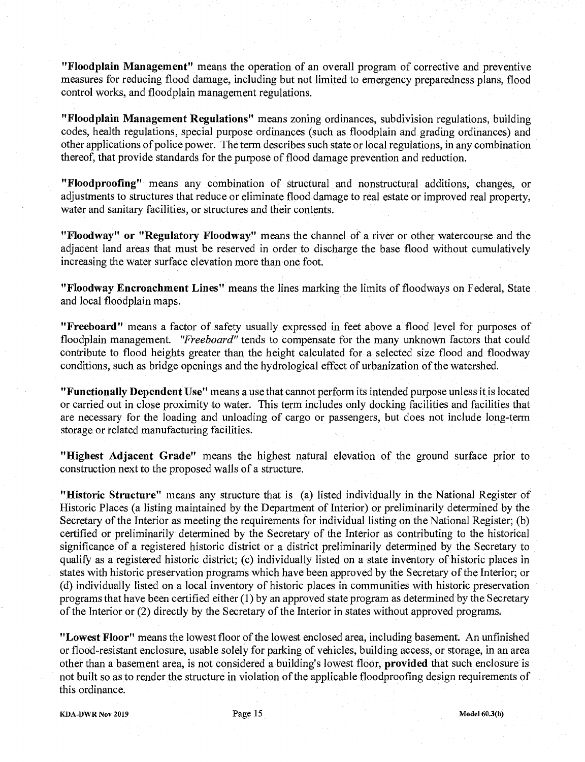**"Floodplain Management"** means the operation of an overall program of corrective and preventive measures for reducing flood damage, including but not limited to emergency preparedness plans, flood control works, and floodplain management regulations.

**"Floodplain Management Regulations"** means zoning ordinances, subdivision regulations, building codes, health regulations, special purpose ordinances (such as floodplain and grading ordinances) and other applications of police power. The term describes such state or local regulations, in any combination thereof, that provide standards for the purpose of flood damage prevention and reduction.

**"Flood proofing"** means any combination of structural and nonstructural additions, changes, or adjustments to structures that reduce or eliminate flood damage to real estate or improved real property, water and sanitary facilities, or structures and their contents.

**"Floodway" or "Regulatory Floodway"** means the channel of a river or other watercourse and the adjacent land areas that must be reserved in order to discharge the base flood without cumulatively increasing the water surface elevation more than one foot.

**"Floodway Encroachment Lines"** means the lines marking the limits of floodways on Federal, State and local floodplain maps.

**"Freeboard"** means a factor of safety usually expressed in feet above a flood level for purposes of floodplain management. *"Freeboard"* tends to compensate for the many unknown factors that could contribute to flood heights greater than the height calculated for a selected size flood and floodway conditions, such as bridge openings and the hydrological effect of urbanization of the watershed

**"Functionally Dependent Use"** means a use that cannot perform its intended purpose unless it is located or carried out in close proximity to water. This term includes only docking facilities and facilities that are necessary for the loading and unloading of cargo or passengers, but does not include long-term storage or related manufacturing facilities.

**"Highest Adjacent Grade"** means the highest natural elevation of the ground surface prior to construction next to the proposed walls of a structure.

**"Historic Structure"** means any structure that is (a) listed individually in the National Register of Historic Places (a listing maintained by the Department of Interior) or preliminarily determined by the Secretary of the Interior as meeting the requirements for individual listing on the National Register; (b) certified or preliminarily determined by the Secretary of the Interior as contributing to the historical significance of a registered historic district or a district preliminarily determined by the Secretary to qualify as a registered historic district, (c) individually listed on a state inventory of historic places in states with historic preservation programs which have been approved by the Secretary of the Interior, or (d) individually listed on a local inventory of historic places in communities with historic preservation programs that have been certified either (1) by an approved state program as determined by the Secretary of the Interior or (2) directly by the Secretary of the Interior in states without approved programs.

**"Lowest Floor"** means the lowest floor of the lowest enclosed area, including basement. An unfinished or flood-resistant enclosure, usable solely for parking of vehicles, building access, or storage, in an area other than a basement area, is not considered a building's lowest floor, **provided** that such enclosure is not built so as to render the structure in violation of the applicable floodproofing design requirements of this ordinance.

**KDA-DWR Nov 2019** Page 15 **Model 60.3(b)**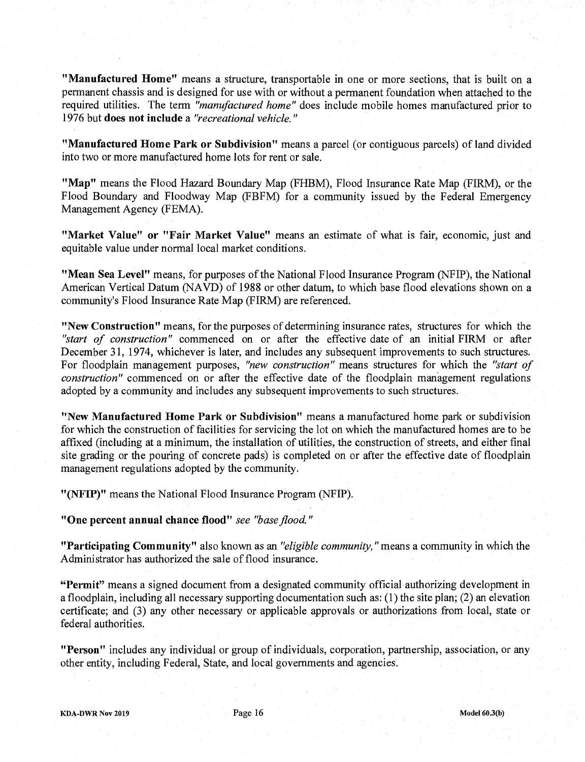**"Manufactured Home"** means a structure, transportable in one or more sections, that is built on a permanent chassis and is designed for use with or without a permanent foundation when attached to the required utilities The term *"manufactured home"* does include mobile homes manufactured prior to *1976 but* **does not include** a *"recreational vehicle."* 

**"Manufactured Home Park or Subdivision"** means a parcel (or contiguous parcels) of land divided into two or more manufactured home lots for rent or sale.

"Map" means the Flood Hazard Boundary Map (FHBM), Flood Insurance Rate Map (FIRM), or the Flood Boundary and Floodway Map (FBFM) for a community issued by the Federal Emergency Management Agency (FEMA).

**"Market Value" or "Fair Market Value"** means an estimate of what is fair, economic, just and equitable value under normal local market conditions.

**"Mean Sea Level"** means, for purposes of the National Flood Insurance Program (NFIP), the National American Vertical Datum (NAVD) of 1988 or other datum, to which base flood elevations shown on a community's Flood Insurance Rate Map (FIRM) are referenced.

**"New Construction"** means, for the purposes of determining insurance rates, structures for which the *"start of construction"* commenced on or after the effective date of an initial FIRM or after December 31, 1974, whichever is later, and includes any subsequent improvements to such structures. For floodplain management purposes, *"new construction"* means structures for which the *"start of construction"* commenced on or after the effective date of the floodplain management regulations adopted by a community and includes any subsequent improvements to such structures

**"New Manufactured Home Park or Subdivision"** means a manufactured home park or subdivision for which the construction of facilities for servicing the lot on which the manufactured homes are to be affixed (including at a minimum, the installation of utilities, the construction of streets, and either final site grading or the pouring of concrete pads) is completed on or after the effective date of floodplain management regulations adopted by the community.

"(NFIP)" means the National Flood Insurance Program (NFIP).

**"One percent annual chance flood"** *see "base flood."* 

**"Participating Community"** also known as an *"eligible community,* "means a community in which the Administrator has authorized the sale of flood insurance.

**"Permit"** means a signed document from a designated community official authorizing development in a floodplain, including all necessary supporting documentation such as:  $(1)$  the site plan,  $(2)$  an elevation certificate, and (3) any other necessary or applicable approvals or authorizations from local, state or federal authorities.

**"Person"** includes any individual or group of individuals, corporation, partnership, association, or any other entity, including Federal, State, and local governments and agencies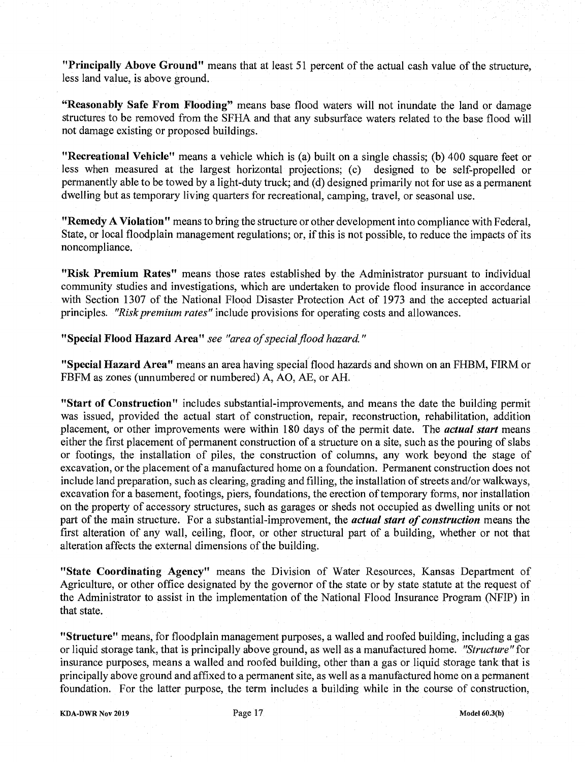**"Principally Above Ground"** means that at least 51 percent of the actual cash value of the structure, less land value, is above ground

**"Reasonably Safe From Flooding"** means base flood waters will not inundate the land or damage structures to be removed from the SFHA and that any subsurface waters related to the base flood will not damage existing or proposed buildings.

**"Recreational Vehicle"** means a vehicle which is (a) built on a single chassis; (b) 400 square feet or less when measured at the largest horizontal projections; (c) designed to be self-propelled or permanently able to be towed by a light-duty truck, and (d) designed primarily not for use as a permanent dwelling but as temporary living quarters for recreational, camping, travel, or seasonal use.

**"Remedy A Violation"** means to bring the structure or other development into compliance with Federal, State, or local floodplain management regulations; or, if this is not possible, to reduce the impacts of its noncompliance.

**"Risk Premium Rates"** means those rates established by the Administrator pursuant to individual community studies and investigations, which are undertaken to provide flood insurance in accordance with Section 1307 of the National Flood Disaster Protection Act of 1973 and the accepted actuarial principles. *''Risk premium rates''* include provisions for operating costs and allowances.

**"Special Flood Hazard Area"** *see "area of special flood hazard."* 

**"Special Hazard Area"** means an area having special flood hazards and shown on an FHBM, FIRM or FBFM as zones (unnumbered or numbered) A, AO, AE, or AH.

**"Start of Construction"** includes substantial-improvements, and means the date the building permit was issued, provided the actual start of construction, repair, reconstruction, rehabilitation, addition placement, or other improvements were within 180 days of the permit date. The *actual start* means either the first placement of permanent construction of a structure on a site, such as the pouring of slabs or footings, the installation of piles, the construction of columns, any work beyond the stage of excavation, or the placement of a manufactured home on a foundation. Permanent construction does not include land preparation, such as clearing, grading and filling, the installation of streets and/or walkways, excavation for a basement, footings, piers, foundations, the erection of temporary forms, nor installation on the property of accessory structures, such as garages or sheds not occupied as dwelling units or not part of the main structure. For a substantial-improvement, the *actual start of construction* means the first alteration of any wall, ceiling, floor, or other structural part of a building, whether or not that alteration affects the external dimensions of the building.

**"State Coordinating Agency"** means the Division of Water Resources, Kansas Department of Agriculture, or other office designated by the governor of the state or by state statute at the request of the Administrator to assist in the implementation of the National Flood Insurance Program (NFIP) in that state.

**"Structure"** means, for floodplain management purposes, a walled and roofed building, including a gas or liquid storage tank, that is principally above ground, as well as a manufactured home *"Structure" for*  insurance purposes, means a walled and roofed building, other than a gas or liquid storage tank that is principally above ground and affixed to a permanent site, as well as a manufactured home on a permanent foundation. For the latter purpose, the term includes a building while in the course of construction,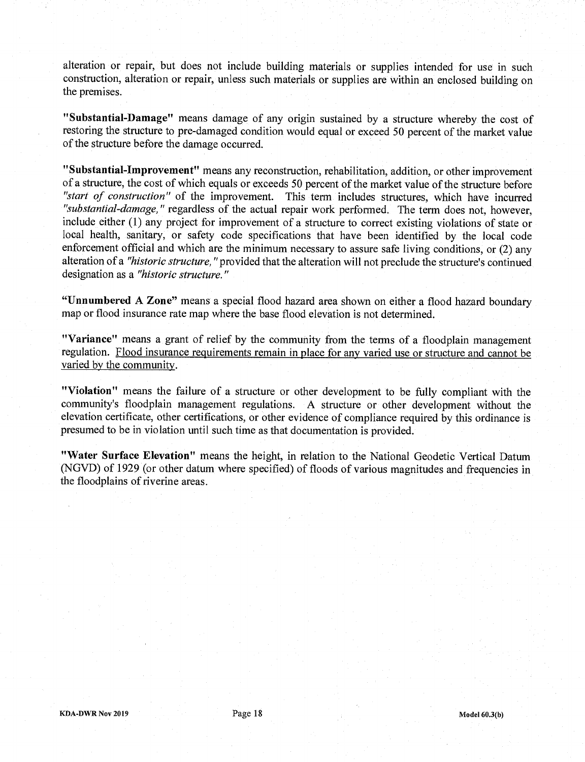alteration or repair, but does not include building materials or supplies intended for use in such construction, alteration or repair, unless such materials or supplies are within an enclosed building on the premises.

**"Substantial-Damage"** means damage of any origin sustained by a structure whereby the cost of restoring the structure to pre-damaged condition would equal or exceed *50* percent of the market value of the structure before the damage occurred.

**"Substantial-Improvement"** means any reconstruction, rehabilitation, addition, or other improvement of a structure, the cost of which equals or exceeds *50* percent of the market value of the structure before *"start of construction"* of the improvement. This term includes structures, which have incurred *"substantial-damage,"* regardless of the actual repair work performed. The term does not, however, include either (1) any project for improvement of a structure to correct existing violations of state or local health, sanitary, or safety code specifications that have been identified by the local code enforcement official and which are the minimum necessary to assure safe living conditions, or (2) any alteration of a *"historic structure,* "provided that the alteration will not preclude the structure's continued *designation as a "historic structure."* 

**"Unnumbered A Zone"** means a special flood hazard area shown on either a flood hazard boundary map or flood insurance rate map where the base flood elevation is not determined.

**"Variance"** means a grant of relief by the community from the terms of a floodplain management regulation. Flood insurance requirements remain in place for any varied use or structure and cannot be varied by the community.

**"Violation"** means the failure of a structure or other development to be fully compliant with the community's floodplain management regulations. A structure or other development without the elevation certificate, other certifications, or other evidence of compliance required by this ordinance is presumed to be in violation until such time as that documentation is provided.

**"Water Surface Elevation"** means the height, in relation to the National Geodetic Vertical Datum (NGVD) of 1929 (or other datum where specified) of floods of various magnitudes and frequencies in the floodplains of riverine areas.